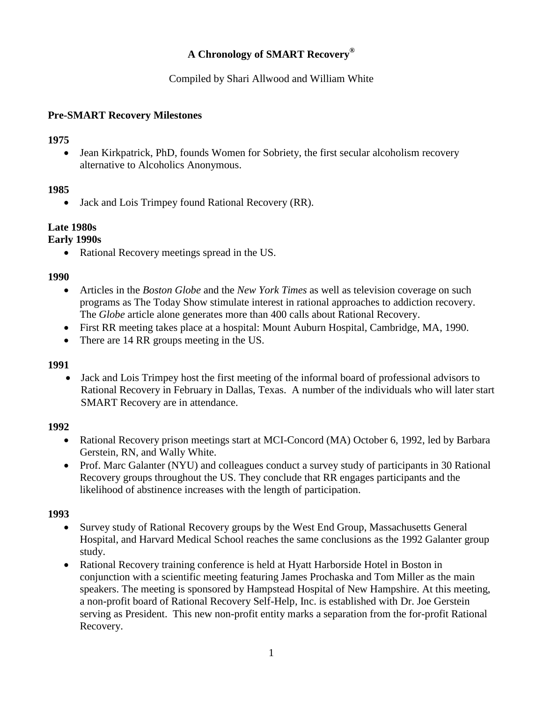# **A Chronology of SMART Recovery®**

Compiled by Shari Allwood and William White

#### **Pre-SMART Recovery Milestones**

#### **1975**

• Jean Kirkpatrick, PhD, founds Women for Sobriety, the first secular alcoholism recovery alternative to Alcoholics Anonymous.

### **1985**

• Jack and Lois Trimpey found Rational Recovery (RR).

### **Late 1980s**

### **Early 1990s**

• Rational Recovery meetings spread in the US.

#### **1990**

- Articles in the *Boston Globe* and the *New York Times* as well as television coverage on such programs as The Today Show stimulate interest in rational approaches to addiction recovery. The *Globe* article alone generates more than 400 calls about Rational Recovery.
- First RR meeting takes place at a hospital: Mount Auburn Hospital, Cambridge, MA, 1990.
- There are 14 RR groups meeting in the US.

#### **1991**

 Jack and Lois Trimpey host the first meeting of the informal board of professional advisors to Rational Recovery in February in Dallas, Texas. A number of the individuals who will later start SMART Recovery are in attendance.

#### **1992**

- Rational Recovery prison meetings start at MCI-Concord (MA) October 6, 1992, led by Barbara Gerstein, RN, and Wally White.
- Prof. Marc Galanter (NYU) and colleagues conduct a survey study of participants in 30 Rational Recovery groups throughout the US. They conclude that RR engages participants and the likelihood of abstinence increases with the length of participation.

- Survey study of Rational Recovery groups by the West End Group, Massachusetts General Hospital, and Harvard Medical School reaches the same conclusions as the 1992 Galanter group study.
- Rational Recovery training conference is held at Hyatt Harborside Hotel in Boston in conjunction with a scientific meeting featuring James Prochaska and Tom Miller as the main speakers. The meeting is sponsored by Hampstead Hospital of New Hampshire. At this meeting, a non-profit board of Rational Recovery Self-Help, Inc. is established with Dr. Joe Gerstein serving as President. This new non-profit entity marks a separation from the for-profit Rational Recovery.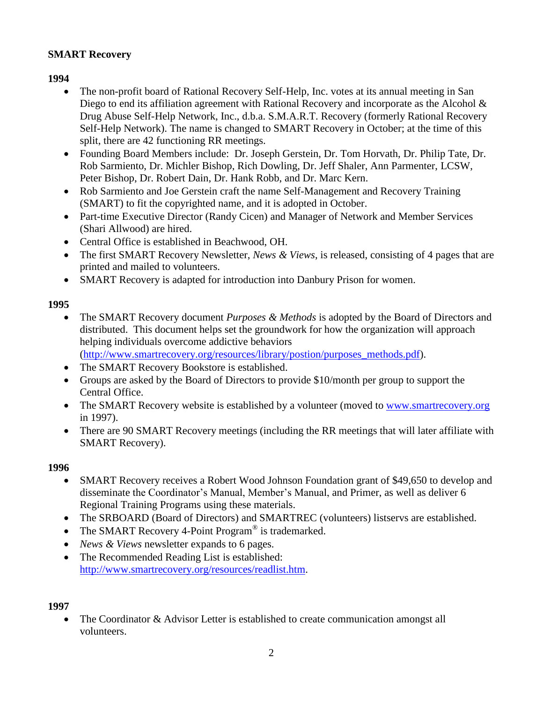### **SMART Recovery**

### **1994**

- The non-profit board of Rational Recovery Self-Help, Inc. votes at its annual meeting in San Diego to end its affiliation agreement with Rational Recovery and incorporate as the Alcohol  $\&$ Drug Abuse Self-Help Network, Inc., d.b.a. S.M.A.R.T. Recovery (formerly Rational Recovery Self-Help Network). The name is changed to SMART Recovery in October; at the time of this split, there are 42 functioning RR meetings.
- Founding Board Members include: Dr. Joseph Gerstein, Dr. Tom Horvath, Dr. Philip Tate, Dr. Rob Sarmiento, Dr. Michler Bishop, Rich Dowling, Dr. Jeff Shaler, Ann Parmenter, LCSW, Peter Bishop, Dr. Robert Dain, Dr. Hank Robb, and Dr. Marc Kern.
- Rob Sarmiento and Joe Gerstein craft the name Self-Management and Recovery Training (SMART) to fit the copyrighted name, and it is adopted in October.
- Part-time Executive Director (Randy Cicen) and Manager of Network and Member Services (Shari Allwood) are hired.
- Central Office is established in Beachwood, OH.
- The first SMART Recovery Newsletter, *News & Views*, is released, consisting of 4 pages that are printed and mailed to volunteers.
- SMART Recovery is adapted for introduction into Danbury Prison for women.

#### **1995**

- The SMART Recovery document *Purposes & Methods* is adopted by the Board of Directors and distributed. This document helps set the groundwork for how the organization will approach helping individuals overcome addictive behaviors [\(http://www.smartrecovery.org/resources/library/postion/purposes\\_methods.pdf\)](http://www.smartrecovery.org/resources/library/postion/purposes_methods.pdf).
- The SMART Recovery Bookstore is established.
- Groups are asked by the Board of Directors to provide \$10/month per group to support the Central Office.
- The SMART Recovery website is established by a volunteer (moved to [www.smartrecovery.org](http://www.smartrecovery.org/)) in 1997).
- There are 90 SMART Recovery meetings (including the RR meetings that will later affiliate with SMART Recovery).

#### **1996**

- SMART Recovery receives a Robert Wood Johnson Foundation grant of \$49,650 to develop and disseminate the Coordinator's Manual, Member's Manual, and Primer, as well as deliver 6 Regional Training Programs using these materials.
- The SRBOARD (Board of Directors) and SMARTREC (volunteers) listservs are established.
- The SMART Recovery 4-Point Program<sup>®</sup> is trademarked.
- *News & Views* newsletter expands to 6 pages.
- The Recommended Reading List is established: [http://www.smartrecovery.org/resources/readlist.htm.](http://www.smartrecovery.org/resources/readlist.htm)

#### **1997**

• The Coordinator & Advisor Letter is established to create communication amongst all volunteers.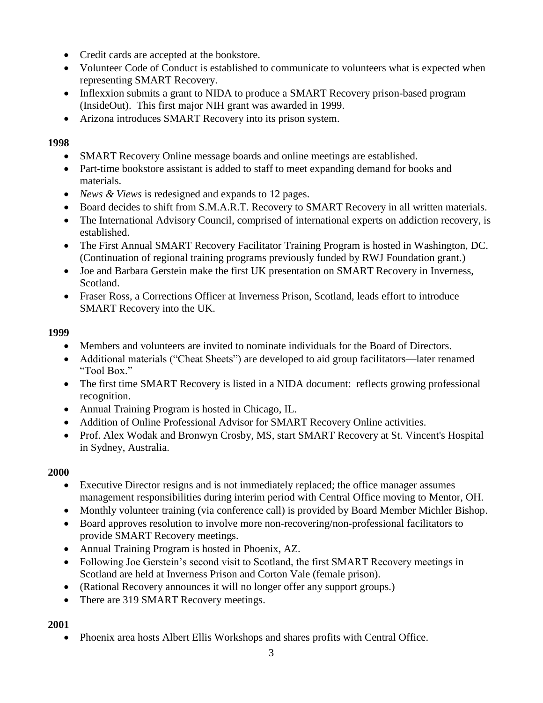- Credit cards are accepted at the bookstore.
- Volunteer Code of Conduct is established to communicate to volunteers what is expected when representing SMART Recovery.
- Inflexxion submits a grant to NIDA to produce a SMART Recovery prison-based program (InsideOut). This first major NIH grant was awarded in 1999.
- Arizona introduces SMART Recovery into its prison system.

- SMART Recovery Online message boards and online meetings are established.
- Part-time bookstore assistant is added to staff to meet expanding demand for books and materials.
- *News & Views* is redesigned and expands to 12 pages.
- Board decides to shift from S.M.A.R.T. Recovery to SMART Recovery in all written materials.
- The International Advisory Council, comprised of international experts on addiction recovery, is established.
- The First Annual SMART Recovery Facilitator Training Program is hosted in Washington, DC. (Continuation of regional training programs previously funded by RWJ Foundation grant.)
- Joe and Barbara Gerstein make the first UK presentation on SMART Recovery in Inverness, Scotland.
- Fraser Ross, a Corrections Officer at Inverness Prison, Scotland, leads effort to introduce SMART Recovery into the UK.

### **1999**

- Members and volunteers are invited to nominate individuals for the Board of Directors.
- Additional materials ("Cheat Sheets") are developed to aid group facilitators—later renamed "Tool Box."
- The first time SMART Recovery is listed in a NIDA document: reflects growing professional recognition.
- Annual Training Program is hosted in Chicago, IL.
- Addition of Online Professional Advisor for SMART Recovery Online activities.
- Prof. Alex Wodak and Bronwyn Crosby, MS, start SMART Recovery at St. Vincent's Hospital in Sydney, Australia.

### **2000**

- Executive Director resigns and is not immediately replaced; the office manager assumes management responsibilities during interim period with Central Office moving to Mentor, OH.
- Monthly volunteer training (via conference call) is provided by Board Member Michler Bishop.
- Board approves resolution to involve more non-recovering/non-professional facilitators to provide SMART Recovery meetings.
- Annual Training Program is hosted in Phoenix, AZ.
- Following Joe Gerstein's second visit to Scotland, the first SMART Recovery meetings in Scotland are held at Inverness Prison and Corton Vale (female prison).
- (Rational Recovery announces it will no longer offer any support groups.)
- There are 319 SMART Recovery meetings.

### **2001**

Phoenix area hosts Albert Ellis Workshops and shares profits with Central Office.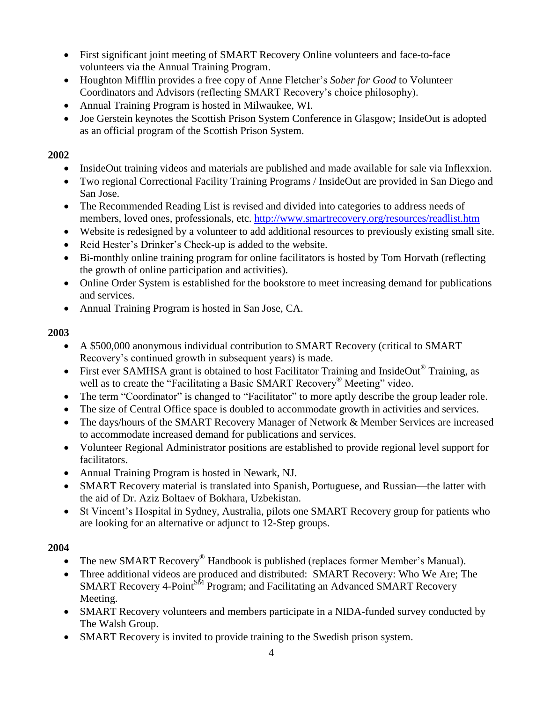- First significant joint meeting of SMART Recovery Online volunteers and face-to-face volunteers via the Annual Training Program.
- Houghton Mifflin provides a free copy of Anne Fletcher's *Sober for Good* to Volunteer Coordinators and Advisors (reflecting SMART Recovery's choice philosophy).
- Annual Training Program is hosted in Milwaukee, WI.
- Joe Gerstein keynotes the Scottish Prison System Conference in Glasgow; InsideOut is adopted as an official program of the Scottish Prison System.

- InsideOut training videos and materials are published and made available for sale via Inflexxion.
- Two regional Correctional Facility Training Programs / InsideOut are provided in San Diego and San Jose.
- The Recommended Reading List is revised and divided into categories to address needs of members, loved ones, professionals, etc. <http://www.smartrecovery.org/resources/readlist.htm>
- Website is redesigned by a volunteer to add additional resources to previously existing small site.
- Reid Hester's Drinker's Check-up is added to the website.
- Bi-monthly online training program for online facilitators is hosted by Tom Horvath (reflecting the growth of online participation and activities).
- Online Order System is established for the bookstore to meet increasing demand for publications and services.
- Annual Training Program is hosted in San Jose, CA.

### **2003**

- A \$500,000 anonymous individual contribution to SMART Recovery (critical to SMART Recovery's continued growth in subsequent years) is made.
- First ever SAMHSA grant is obtained to host Facilitator Training and InsideOut® Training, as well as to create the "Facilitating a Basic SMART Recovery<sup>®</sup> Meeting" video.
- The term "Coordinator" is changed to "Facilitator" to more aptly describe the group leader role.
- The size of Central Office space is doubled to accommodate growth in activities and services.
- The days/hours of the SMART Recovery Manager of Network & Member Services are increased to accommodate increased demand for publications and services.
- Volunteer Regional Administrator positions are established to provide regional level support for facilitators.
- Annual Training Program is hosted in Newark, NJ.
- SMART Recovery material is translated into Spanish, Portuguese, and Russian—the latter with the aid of Dr. Aziz Boltaev of Bokhara, Uzbekistan.
- St Vincent's Hospital in Sydney, Australia, pilots one SMART Recovery group for patients who are looking for an alternative or adjunct to 12-Step groups.

- The new SMART Recovery<sup>®</sup> Handbook is published (replaces former Member's Manual).
- Three additional videos are produced and distributed: SMART Recovery: Who We Are; The SMART Recovery 4-Point<sup>SM</sup> Program; and Facilitating an Advanced SMART Recovery Meeting.
- SMART Recovery volunteers and members participate in a NIDA-funded survey conducted by The Walsh Group.
- SMART Recovery is invited to provide training to the Swedish prison system.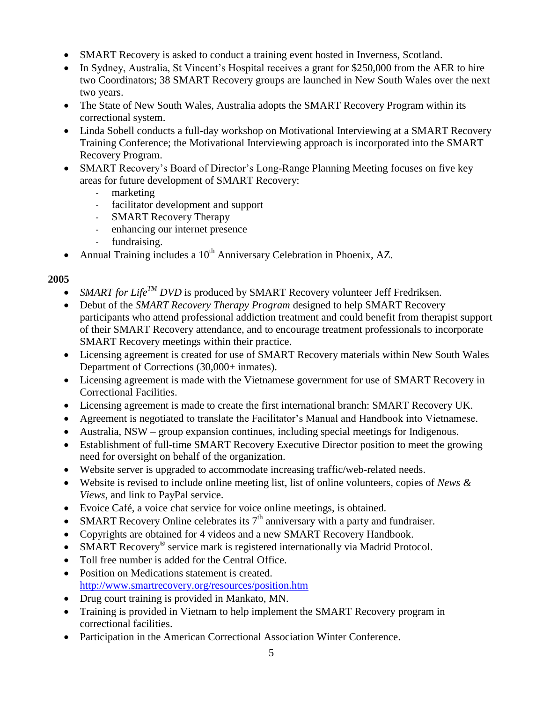- SMART Recovery is asked to conduct a training event hosted in Inverness, Scotland.
- In Sydney, Australia, St Vincent's Hospital receives a grant for \$250,000 from the AER to hire two Coordinators; 38 SMART Recovery groups are launched in New South Wales over the next two years.
- The State of New South Wales, Australia adopts the SMART Recovery Program within its correctional system.
- Linda Sobell conducts a full-day workshop on Motivational Interviewing at a SMART Recovery Training Conference; the Motivational Interviewing approach is incorporated into the SMART Recovery Program.
- SMART Recovery's Board of Director's Long-Range Planning Meeting focuses on five key areas for future development of SMART Recovery:
	- marketing
	- facilitator development and support
	- SMART Recovery Therapy
	- enhancing our internet presence
	- fundraising.
- Annual Training includes a  $10^{th}$  Anniversary Celebration in Phoenix, AZ.

- *SMART for Life<sup>TM</sup> DVD* is produced by SMART Recovery volunteer Jeff Fredriksen.
- Debut of the *SMART Recovery Therapy Program* designed to help SMART Recovery participants who attend professional addiction treatment and could benefit from therapist support of their SMART Recovery attendance, and to encourage treatment professionals to incorporate SMART Recovery meetings within their practice.
- Licensing agreement is created for use of SMART Recovery materials within New South Wales Department of Corrections (30,000+ inmates).
- Licensing agreement is made with the Vietnamese government for use of SMART Recovery in Correctional Facilities.
- Licensing agreement is made to create the first international branch: SMART Recovery UK.
- Agreement is negotiated to translate the Facilitator's Manual and Handbook into Vietnamese.
- Australia, NSW group expansion continues, including special meetings for Indigenous.
- Establishment of full-time SMART Recovery Executive Director position to meet the growing need for oversight on behalf of the organization.
- Website server is upgraded to accommodate increasing traffic/web-related needs.
- Website is revised to include online meeting list, list of online volunteers, copies of *News & Views*, and link to PayPal service.
- Evoice Café, a voice chat service for voice online meetings, is obtained.
- SMART Recovery Online celebrates its  $7<sup>th</sup>$  anniversary with a party and fundraiser.
- Copyrights are obtained for 4 videos and a new SMART Recovery Handbook.
- SMART Recovery<sup>®</sup> service mark is registered internationally via Madrid Protocol.
- Toll free number is added for the Central Office.
- Position on Medications statement is created. <http://www.smartrecovery.org/resources/position.htm>
- Drug court training is provided in Mankato, MN.
- Training is provided in Vietnam to help implement the SMART Recovery program in correctional facilities.
- Participation in the American Correctional Association Winter Conference.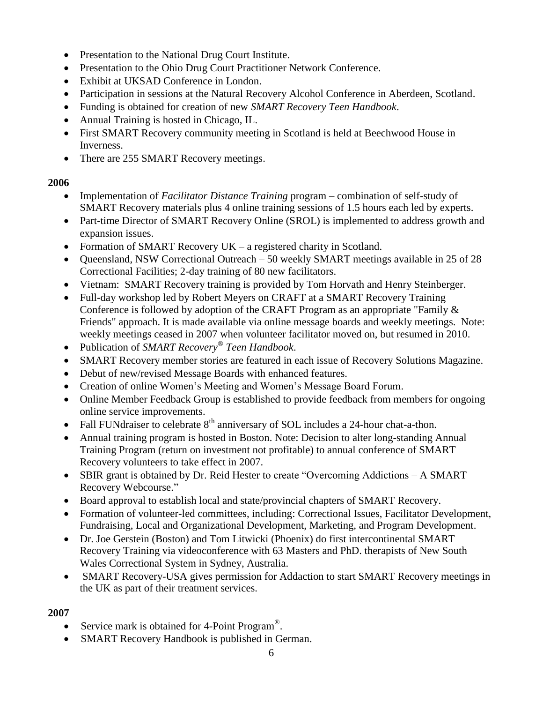- Presentation to the National Drug Court Institute.
- Presentation to the Ohio Drug Court Practitioner Network Conference.
- Exhibit at UKSAD Conference in London.
- Participation in sessions at the Natural Recovery Alcohol Conference in Aberdeen, Scotland.
- Funding is obtained for creation of new *SMART Recovery Teen Handbook*.
- Annual Training is hosted in Chicago, IL.
- First SMART Recovery community meeting in Scotland is held at Beechwood House in Inverness.
- There are 255 SMART Recovery meetings.

- Implementation of *Facilitator Distance Training* program combination of self-study of SMART Recovery materials plus 4 online training sessions of 1.5 hours each led by experts.
- Part-time Director of SMART Recovery Online (SROL) is implemented to address growth and expansion issues.
- Formation of SMART Recovery UK a registered charity in Scotland.
- Queensland, NSW Correctional Outreach 50 weekly SMART meetings available in 25 of 28 Correctional Facilities; 2-day training of 80 new facilitators.
- Vietnam: SMART Recovery training is provided by Tom Horvath and Henry Steinberger.
- Full-day workshop led by Robert Meyers on CRAFT at a SMART Recovery Training Conference is followed by adoption of the CRAFT Program as an appropriate "Family & Friends" approach. It is made available via online message boards and weekly meetings. Note: weekly meetings ceased in 2007 when volunteer facilitator moved on, but resumed in 2010.
- Publication of *SMART Recovery® Teen Handbook*.
- SMART Recovery member stories are featured in each issue of Recovery Solutions Magazine.
- Debut of new/revised Message Boards with enhanced features.
- Creation of online Women's Meeting and Women's Message Board Forum.
- Online Member Feedback Group is established to provide feedback from members for ongoing online service improvements.
- Fall FUNdraiser to celebrate  $8<sup>th</sup>$  anniversary of SOL includes a 24-hour chat-a-thon.
- Annual training program is hosted in Boston. Note: Decision to alter long-standing Annual Training Program (return on investment not profitable) to annual conference of SMART Recovery volunteers to take effect in 2007.
- SBIR grant is obtained by Dr. Reid Hester to create "Overcoming Addictions A SMART Recovery Webcourse."
- Board approval to establish local and state/provincial chapters of SMART Recovery.
- Formation of volunteer-led committees, including: Correctional Issues, Facilitator Development, Fundraising, Local and Organizational Development, Marketing, and Program Development.
- Dr. Joe Gerstein (Boston) and Tom Litwicki (Phoenix) do first intercontinental SMART Recovery Training via videoconference with 63 Masters and PhD. therapists of New South Wales Correctional System in Sydney, Australia.
- SMART Recovery-USA gives permission for Addaction to start SMART Recovery meetings in the UK as part of their treatment services.

- Service mark is obtained for 4-Point Program<sup>®</sup>.
- SMART Recovery Handbook is published in German.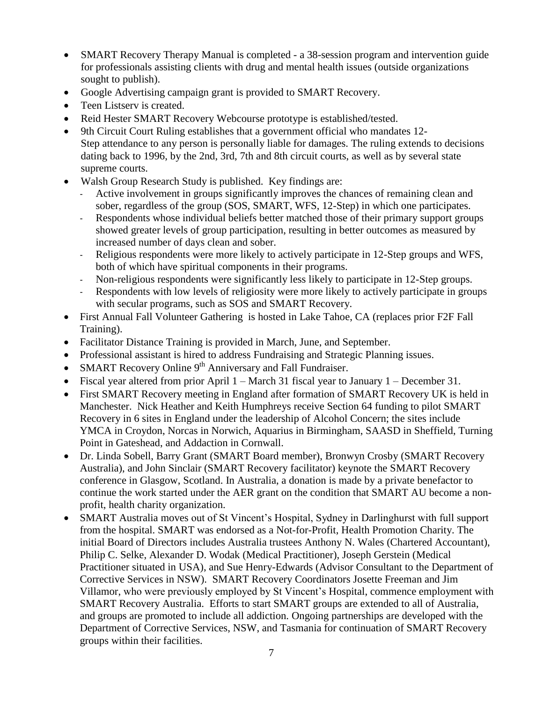- SMART Recovery Therapy Manual is completed a 38-session program and intervention guide for professionals assisting clients with drug and mental health issues (outside organizations sought to publish).
- Google Advertising campaign grant is provided to SMART Recovery.
- Teen Listserv is created.
- Reid Hester SMART Recovery Webcourse prototype is established/tested.
- 9th Circuit Court Ruling establishes that a government official who mandates 12- Step attendance to any person is personally liable for damages. The ruling extends to decisions dating back to 1996, by the 2nd, 3rd, 7th and 8th circuit courts, as well as by several state supreme courts.
- Walsh Group Research Study is published. Key findings are:
	- Active involvement in groups significantly improves the chances of remaining clean and sober, regardless of the group (SOS, SMART, WFS, 12-Step) in which one participates.
	- Respondents whose individual beliefs better matched those of their primary support groups showed greater levels of group participation, resulting in better outcomes as measured by increased number of days clean and sober.
	- Religious respondents were more likely to actively participate in 12-Step groups and WFS, both of which have spiritual components in their programs.
	- Non-religious respondents were significantly less likely to participate in 12-Step groups.
	- Respondents with low levels of religiosity were more likely to actively participate in groups with secular programs, such as SOS and SMART Recovery.
- First Annual Fall Volunteer Gathering is hosted in Lake Tahoe, CA (replaces prior F2F Fall Training).
- Facilitator Distance Training is provided in March, June, and September.
- Professional assistant is hired to address Fundraising and Strategic Planning issues.
- SMART Recovery Online  $9<sup>th</sup>$  Anniversary and Fall Fundraiser.
- Fiscal year altered from prior April 1 March 31 fiscal year to January 1 December 31.
- First SMART Recovery meeting in England after formation of SMART Recovery UK is held in Manchester. Nick Heather and Keith Humphreys receive Section 64 funding to pilot SMART Recovery in 6 sites in England under the leadership of Alcohol Concern; the sites include YMCA in Croydon, Norcas in Norwich, Aquarius in Birmingham, SAASD in Sheffield, Turning Point in Gateshead, and Addaction in Cornwall.
- Dr. Linda Sobell, Barry Grant (SMART Board member), Bronwyn Crosby (SMART Recovery Australia), and John Sinclair (SMART Recovery facilitator) keynote the SMART Recovery conference in Glasgow, Scotland. In Australia, a donation is made by a private benefactor to continue the work started under the AER grant on the condition that SMART AU become a nonprofit, health charity organization.
- SMART Australia moves out of St Vincent's Hospital, Sydney in Darlinghurst with full support from the hospital. SMART was endorsed as a Not-for-Profit, Health Promotion Charity. The initial Board of Directors includes Australia trustees Anthony N. Wales (Chartered Accountant), Philip C. Selke, Alexander D. Wodak (Medical Practitioner), Joseph Gerstein (Medical Practitioner situated in USA), and Sue Henry-Edwards (Advisor Consultant to the Department of Corrective Services in NSW). SMART Recovery Coordinators Josette Freeman and Jim Villamor, who were previously employed by St Vincent's Hospital, commence employment with SMART Recovery Australia. Efforts to start SMART groups are extended to all of Australia, and groups are promoted to include all addiction. Ongoing partnerships are developed with the Department of Corrective Services, NSW, and Tasmania for continuation of SMART Recovery groups within their facilities.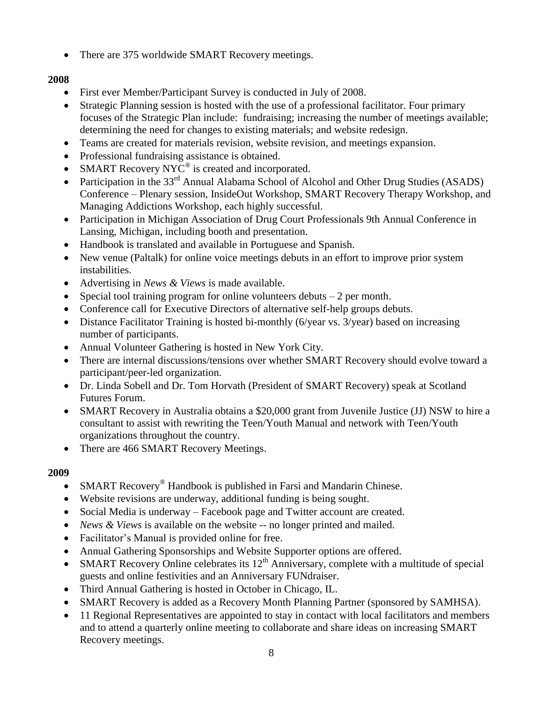• There are 375 worldwide SMART Recovery meetings.

## **2008**

- First ever Member/Participant Survey is conducted in July of 2008.
- Strategic Planning session is hosted with the use of a professional facilitator. Four primary focuses of the Strategic Plan include: fundraising; increasing the number of meetings available; determining the need for changes to existing materials; and website redesign.
- Teams are created for materials revision, website revision, and meetings expansion.
- Professional fundraising assistance is obtained.
- SMART Recovery NYC<sup>®</sup> is created and incorporated.
- Participation in the 33<sup>rd</sup> Annual Alabama School of Alcohol and Other Drug Studies (ASADS) Conference – Plenary session, InsideOut Workshop, SMART Recovery Therapy Workshop, and Managing Addictions Workshop, each highly successful.
- Participation in Michigan Association of Drug Court Professionals 9th Annual Conference in Lansing, Michigan, including booth and presentation.
- Handbook is translated and available in Portuguese and Spanish.
- New venue (Paltalk) for online voice meetings debuts in an effort to improve prior system instabilities.
- Advertising in *News & Views* is made available.
- Special tool training program for online volunteers debuts  $-2$  per month.
- Conference call for Executive Directors of alternative self-help groups debuts.
- Distance Facilitator Training is hosted bi-monthly (6/year vs. 3/year) based on increasing number of participants.
- Annual Volunteer Gathering is hosted in New York City.
- There are internal discussions/tensions over whether SMART Recovery should evolve toward a participant/peer-led organization.
- Dr. Linda Sobell and Dr. Tom Horvath (President of SMART Recovery) speak at Scotland Futures Forum.
- SMART Recovery in Australia obtains a \$20,000 grant from Juvenile Justice (JJ) NSW to hire a consultant to assist with rewriting the Teen/Youth Manual and network with Teen/Youth organizations throughout the country.
- There are 466 SMART Recovery Meetings.

- SMART Recovery<sup>®</sup> Handbook is published in Farsi and Mandarin Chinese.
- Website revisions are underway, additional funding is being sought.
- Social Media is underway Facebook page and Twitter account are created.
- *News & Views* is available on the website -- no longer printed and mailed.
- Facilitator's Manual is provided online for free.
- Annual Gathering Sponsorships and Website Supporter options are offered.
- SMART Recovery Online celebrates its  $12<sup>th</sup>$  Anniversary, complete with a multitude of special guests and online festivities and an Anniversary FUNdraiser.
- Third Annual Gathering is hosted in October in Chicago, IL.
- SMART Recovery is added as a Recovery Month Planning Partner (sponsored by SAMHSA).
- 11 Regional Representatives are appointed to stay in contact with local facilitators and members and to attend a quarterly online meeting to collaborate and share ideas on increasing SMART Recovery meetings.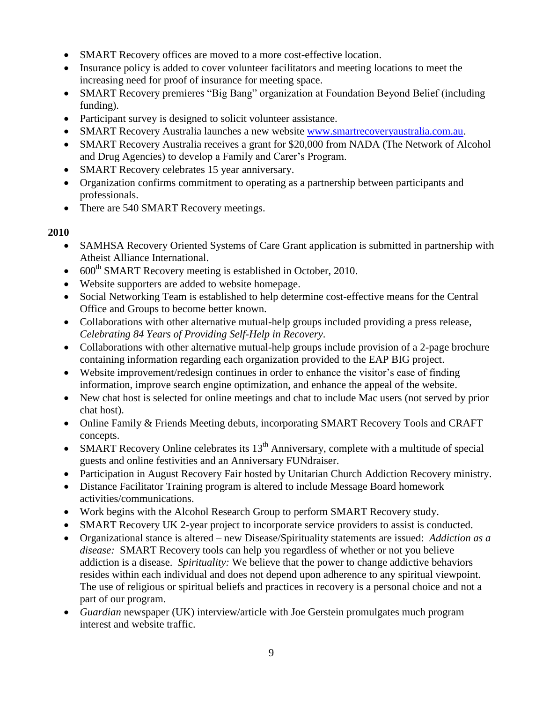- SMART Recovery offices are moved to a more cost-effective location.
- Insurance policy is added to cover volunteer facilitators and meeting locations to meet the increasing need for proof of insurance for meeting space.
- SMART Recovery premieres "Big Bang" organization at Foundation Beyond Belief (including funding).
- Participant survey is designed to solicit volunteer assistance.
- SMART Recovery Australia launches a new website [www.smartrecoveryaustralia.com.au.](http://www.smartrecoveryaustralia.com.au/)
- SMART Recovery Australia receives a grant for \$20,000 from NADA (The Network of Alcohol and Drug Agencies) to develop a Family and Carer's Program.
- SMART Recovery celebrates 15 year anniversary.
- Organization confirms commitment to operating as a partnership between participants and professionals.
- There are 540 SMART Recovery meetings.

- SAMHSA Recovery Oriented Systems of Care Grant application is submitted in partnership with Atheist Alliance International.
- $\bullet$  600<sup>th</sup> SMART Recovery meeting is established in October, 2010.
- Website supporters are added to website homepage.
- Social Networking Team is established to help determine cost-effective means for the Central Office and Groups to become better known.
- Collaborations with other alternative mutual-help groups included providing a press release, *Celebrating 84 Years of Providing Self-Help in Recovery*.
- Collaborations with other alternative mutual-help groups include provision of a 2-page brochure containing information regarding each organization provided to the EAP BIG project.
- Website improvement/redesign continues in order to enhance the visitor's ease of finding information, improve search engine optimization, and enhance the appeal of the website.
- New chat host is selected for online meetings and chat to include Mac users (not served by prior chat host).
- Online Family & Friends Meeting debuts, incorporating SMART Recovery Tools and CRAFT concepts.
- SMART Recovery Online celebrates its  $13<sup>th</sup>$  Anniversary, complete with a multitude of special guests and online festivities and an Anniversary FUNdraiser.
- Participation in August Recovery Fair hosted by Unitarian Church Addiction Recovery ministry.
- Distance Facilitator Training program is altered to include Message Board homework activities/communications.
- Work begins with the Alcohol Research Group to perform SMART Recovery study.
- SMART Recovery UK 2-year project to incorporate service providers to assist is conducted.
- Organizational stance is altered new Disease/Spirituality statements are issued: *Addiction as a disease:* SMART Recovery tools can help you regardless of whether or not you believe addiction is a disease. *Spirituality:* We believe that the power to change addictive behaviors resides within each individual and does not depend upon adherence to any spiritual viewpoint. The use of religious or spiritual beliefs and practices in recovery is a personal choice and not a part of our program.
- *Guardian* newspaper (UK) interview/article with Joe Gerstein promulgates much program interest and website traffic.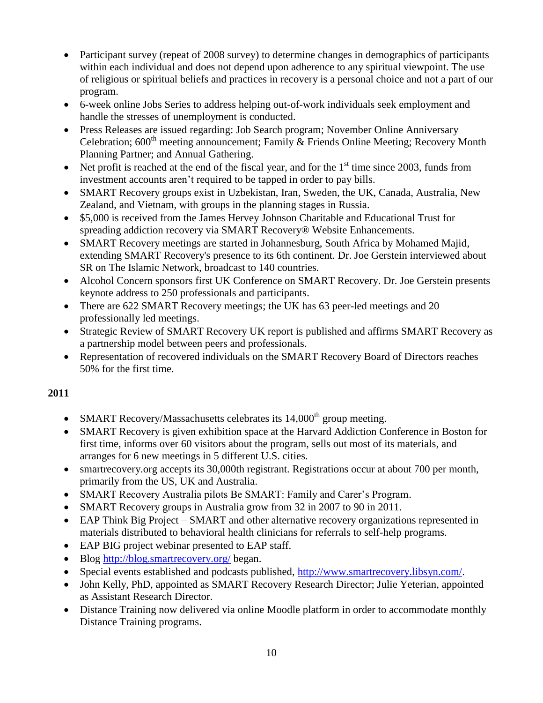- Participant survey (repeat of 2008 survey) to determine changes in demographics of participants within each individual and does not depend upon adherence to any spiritual viewpoint. The use of religious or spiritual beliefs and practices in recovery is a personal choice and not a part of our program.
- 6-week online Jobs Series to address helping out-of-work individuals seek employment and handle the stresses of unemployment is conducted.
- Press Releases are issued regarding: Job Search program; November Online Anniversary Celebration;  $600<sup>th</sup>$  meeting announcement; Family & Friends Online Meeting; Recovery Month Planning Partner; and Annual Gathering.
- Net profit is reached at the end of the fiscal year, and for the  $1<sup>st</sup>$  time since 2003, funds from investment accounts aren't required to be tapped in order to pay bills.
- SMART Recovery groups exist in Uzbekistan, Iran, Sweden, the UK, Canada, Australia, New Zealand, and Vietnam, with groups in the planning stages in Russia.
- \$5,000 is received from the James Hervey Johnson Charitable and Educational Trust for spreading addiction recovery via SMART Recovery® Website Enhancements.
- SMART Recovery meetings are started in Johannesburg, South Africa by Mohamed Majid, extending SMART Recovery's presence to its 6th continent. Dr. Joe Gerstein interviewed about SR on The Islamic Network, broadcast to 140 countries.
- Alcohol Concern sponsors first UK Conference on SMART Recovery. Dr. Joe Gerstein presents keynote address to 250 professionals and participants.
- There are 622 SMART Recovery meetings; the UK has 63 peer-led meetings and 20 professionally led meetings.
- Strategic Review of SMART Recovery UK report is published and affirms SMART Recovery as a partnership model between peers and professionals.
- Representation of recovered individuals on the SMART Recovery Board of Directors reaches 50% for the first time.

- SMART Recovery/Massachusetts celebrates its  $14,000<sup>th</sup>$  group meeting.
- SMART Recovery is given exhibition space at the Harvard Addiction Conference in Boston for first time, informs over 60 visitors about the program, sells out most of its materials, and arranges for 6 new meetings in 5 different U.S. cities.
- smartrecovery.org accepts its 30,000th registrant. Registrations occur at about 700 per month, primarily from the US, UK and Australia.
- SMART Recovery Australia pilots Be SMART: Family and Carer's Program.
- SMART Recovery groups in Australia grow from 32 in 2007 to 90 in 2011.
- EAP Think Big Project SMART and other alternative recovery organizations represented in materials distributed to behavioral health clinicians for referrals to self-help programs.
- EAP BIG project webinar presented to EAP staff.
- Blog<http://blog.smartrecovery.org/> began.
- Special events established and podcasts published, [http://www.smartrecovery.libsyn.com/.](http://www.smartrecovery.libsyn.com/)
- John Kelly, PhD, appointed as SMART Recovery Research Director; Julie Yeterian, appointed as Assistant Research Director.
- Distance Training now delivered via online Moodle platform in order to accommodate monthly Distance Training programs.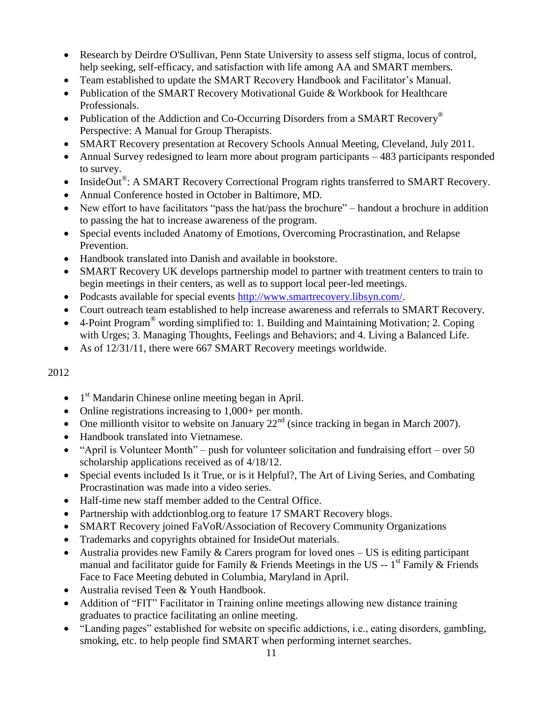- Research by Deirdre O'Sullivan, Penn State University to assess self stigma, locus of control, help seeking, self-efficacy, and satisfaction with life among AA and SMART members.
- Team established to update the SMART Recovery Handbook and Facilitator's Manual.
- Publication of the SMART Recovery Motivational Guide & Workbook for Healthcare Professionals.
- Publication of the Addiction and Co-Occurring Disorders from a SMART Recovery<sup>®</sup> Perspective: A Manual for Group Therapists.
- SMART Recovery presentation at Recovery Schools Annual Meeting, Cleveland, July 2011.
- Annual Survey redesigned to learn more about program participants 483 participants responded to survey.
- InsideOut®: A SMART Recovery Correctional Program rights transferred to SMART Recovery.
- Annual Conference hosted in October in Baltimore, MD.
- New effort to have facilitators "pass the hat/pass the brochure" handout a brochure in addition to passing the hat to increase awareness of the program.
- Special events included Anatomy of Emotions, Overcoming Procrastination, and Relapse Prevention.
- Handbook translated into Danish and available in bookstore.
- SMART Recovery UK develops partnership model to partner with treatment centers to train to begin meetings in their centers, as well as to support local peer-led meetings.
- Podcasts available for special events [http://www.smartrecovery.libsyn.com/.](http://www.smartrecovery.libsyn.com/)
- Court outreach team established to help increase awareness and referrals to SMART Recovery.
- $\bullet$  4-Point Program<sup>®</sup> wording simplified to: 1. Building and Maintaining Motivation; 2. Coping with Urges; 3. Managing Thoughts, Feelings and Behaviors; and 4. Living a Balanced Life.
- As of 12/31/11, there were 667 SMART Recovery meetings worldwide.

- $\bullet$  1<sup>st</sup> Mandarin Chinese online meeting began in April.
- Online registrations increasing to 1,000+ per month.
- One millionth visitor to website on January  $22<sup>nd</sup>$  (since tracking in began in March 2007).
- Handbook translated into Vietnamese.
- "April is Volunteer Month" push for volunteer solicitation and fundraising effort over 50 scholarship applications received as of 4/18/12.
- Special events included Is it True, or is it Helpful?, The Art of Living Series, and Combating Procrastination was made into a video series.
- Half-time new staff member added to the Central Office.
- Partnership with addctionblog.org to feature 17 SMART Recovery blogs.
- SMART Recovery joined FaVoR/Association of Recovery Community Organizations
- Trademarks and copyrights obtained for InsideOut materials.
- Australia provides new Family & Carers program for loved ones US is editing participant manual and facilitator guide for Family  $\&$  Friends Meetings in the US -- 1<sup>st</sup> Family  $\&$  Friends Face to Face Meeting debuted in Columbia, Maryland in April.
- Australia revised Teen & Youth Handbook.
- Addition of "FIT" Facilitator in Training online meetings allowing new distance training graduates to practice facilitating an online meeting.
- "Landing pages" established for website on specific addictions, i.e., eating disorders, gambling, smoking, etc. to help people find SMART when performing internet searches.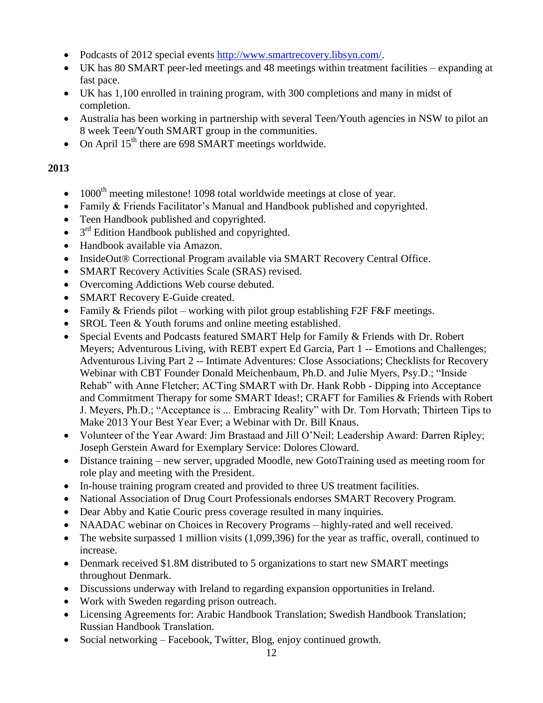- Podcasts of 2012 special events [http://www.smartrecovery.libsyn.com/.](http://www.smartrecovery.libsyn.com/)
- UK has 80 SMART peer-led meetings and 48 meetings within treatment facilities expanding at fast pace.
- UK has 1,100 enrolled in training program, with 300 completions and many in midst of completion.
- Australia has been working in partnership with several Teen/Youth agencies in NSW to pilot an 8 week Teen/Youth SMART group in the communities.
- On April  $15<sup>th</sup>$  there are 698 SMART meetings worldwide.

- $\bullet$  1000<sup>th</sup> meeting milestone! 1098 total worldwide meetings at close of year.
- Family & Friends Facilitator's Manual and Handbook published and copyrighted.
- Teen Handbook published and copyrighted.
- $\bullet$  3<sup>rd</sup> Edition Handbook published and copyrighted.
- Handbook available via Amazon.
- InsideOut® Correctional Program available via SMART Recovery Central Office.
- SMART Recovery Activities Scale (SRAS) revised.
- Overcoming Addictions Web course debuted.
- SMART Recovery E-Guide created.
- Family  $&$  Friends pilot working with pilot group establishing F2F F  $&$  F meetings.
- SROL Teen & Youth forums and online meeting established.
- Special Events and Podcasts featured SMART Help for Family & Friends with Dr. Robert Meyers; Adventurous Living, with REBT expert Ed Garcia, Part 1 -- Emotions and Challenges; Adventurous Living Part 2 -- Intimate Adventures: Close Associations; Checklists for Recovery Webinar with CBT Founder Donald Meichenbaum, Ph.D. and Julie Myers, Psy.D.; "Inside Rehab" with Anne Fletcher; ACTing SMART with Dr. Hank Robb - Dipping into Acceptance and Commitment Therapy for some SMART Ideas!; CRAFT for Families & Friends with Robert J. Meyers, Ph.D.; "Acceptance is ... Embracing Reality" with Dr. Tom Horvath; Thirteen Tips to Make 2013 Your Best Year Ever; a Webinar with Dr. Bill Knaus.
- Volunteer of the Year Award: Jim Brastaad and Jill O'Neil; Leadership Award: Darren Ripley; Joseph Gerstein Award for Exemplary Service: Dolores Cloward.
- Distance training new server, upgraded Moodle, new GotoTraining used as meeting room for role play and meeting with the President.
- In-house training program created and provided to three US treatment facilities.
- National Association of Drug Court Professionals endorses SMART Recovery Program.
- Dear Abby and Katie Couric press coverage resulted in many inquiries.
- NAADAC webinar on Choices in Recovery Programs highly-rated and well received.
- The website surpassed 1 million visits (1,099,396) for the year as traffic, overall, continued to increase.
- Denmark received \$1.8M distributed to 5 organizations to start new SMART meetings throughout Denmark.
- Discussions underway with Ireland to regarding expansion opportunities in Ireland.
- Work with Sweden regarding prison outreach.
- Licensing Agreements for: Arabic Handbook Translation; Swedish Handbook Translation; Russian Handbook Translation.
- Social networking Facebook, Twitter, Blog, enjoy continued growth.